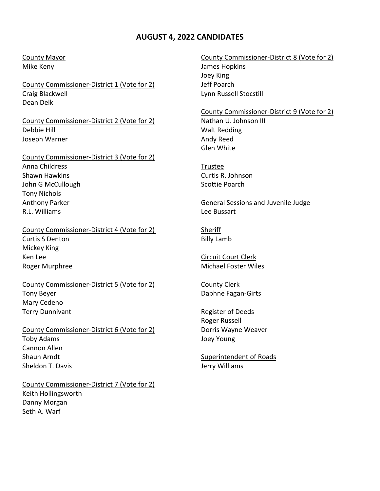## **AUGUST 4, 2022 CANDIDATES**

County Commissioner-District 1 (Vote for 2) Jeff Poarch Craig Blackwell Lynn Russell Stocstill Dean Delk

County Commissioner-District 2 (Vote for 2) Nathan U. Johnson III Debbie Hill Walt Redding Joseph Warner **Andy Reed** 

County Commissioner-District 3 (Vote for 2) Anna Childress **Trustee** Shawn Hawkins Curtis R. Johnson John G McCullough Scottie Poarch Tony Nichols Anthony Parker General Sessions and Juvenile Judge R.L. Williams **Lee Bussart** 

## County Commissioner-District 4 (Vote for 2) Sheriff Curtis S Denton **Billy Lamb** Mickey King Ken Lee Circuit Court Clerk (Court Clerk) Roger Murphree **Michael Foster Wiles** Roger Muchael Foster Wiles

County Commissioner-District 5 (Vote for 2) County Clerk Tony Beyer **Daphne Fagan-Girts** Mary Cedeno Terry Dunnivant **Register of Deeds** 

County Commissioner-District 6 (Vote for 2) Dorris Wayne Weaver Toby Adams Joey Young Cannon Allen Shaun Arndt Superintendent of Roads Sheldon T. Davis **Jerry Williams** 

County Commissioner-District 7 (Vote for 2) Keith Hollingsworth Danny Morgan Seth A. Warf

## County Mayor County Commissioner-District 8 (Vote for 2) Mike Keny James Hopkins Joey King

County Commissioner-District 9 (Vote for 2)

Glen White

Roger Russell